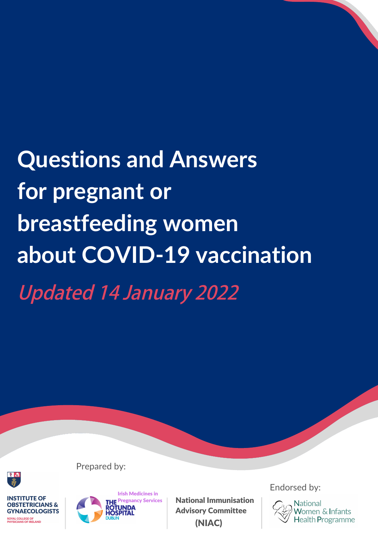**Questions and Answers for pregnant or breastfeeding women about COVID-19 vaccination Updated 14 January 2022**



**INSTITUTE OF OBSTETRICIANS & GYNAECOLOGISTS ROYAL COLLEGE OF<br>PHYSICIANS OF IRELAND** 



Prepared by:

National Immunisation Advisory Committee (NIAC)

Endorsed by:

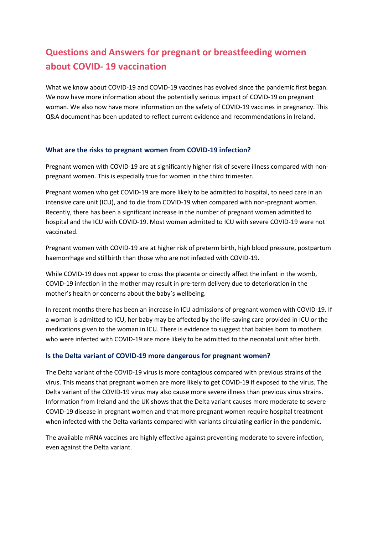# **Questions and Answers for pregnant or breastfeeding women about COVID- 19 vaccination**

What we know about COVID-19 and COVID-19 vaccines has evolved since the pandemic first began. We now have more information about the potentially serious impact of COVID-19 on pregnant woman. We also now have more information on the safety of COVID-19 vaccines in pregnancy. This Q&A document has been updated to reflect current evidence and recommendations in Ireland.

### **What are the risks to pregnant women from COVID-19 infection?**

Pregnant women with COVID-19 are at significantly higher risk of severe illness compared with nonpregnant women. This is especially true for women in the third trimester.

Pregnant women who get COVID-19 are more likely to be admitted to hospital, to need care in an intensive care unit (ICU), and to die from COVID-19 when compared with non-pregnant women. Recently, there has been a significant increase in the number of pregnant women admitted to hospital and the ICU with COVID-19. Most women admitted to ICU with severe COVID-19 were not vaccinated.

Pregnant women with COVID-19 are at higher risk of preterm birth, high blood pressure, postpartum haemorrhage and stillbirth than those who are not infected with COVID-19.

While COVID-19 does not appear to cross the placenta or directly affect the infant in the womb, COVID-19 infection in the mother may result in pre-term delivery due to deterioration in the mother's health or concerns about the baby's wellbeing.

In recent months there has been an increase in ICU admissions of pregnant women with COVID-19. If a woman is admitted to ICU, her baby may be affected by the life-saving care provided in ICU or the medications given to the woman in ICU. There is evidence to suggest that babies born to mothers who were infected with COVID-19 are more likely to be admitted to the neonatal unit after birth.

### **Is the Delta variant of COVID-19 more dangerous for pregnant women?**

The Delta variant of the COVID-19 virus is more contagious compared with previous strains of the virus. This means that pregnant women are more likely to get COVID-19 if exposed to the virus. The Delta variant of the COVID-19 virus may also cause more severe illness than previous virus strains. Information from Ireland and the UK shows that the Delta variant causes more moderate to severe COVID-19 disease in pregnant women and that more pregnant women require hospital treatment when infected with the Delta variants compared with variants circulating earlier in the pandemic.

The available mRNA vaccines are highly effective against preventing moderate to severe infection, even against the Delta variant.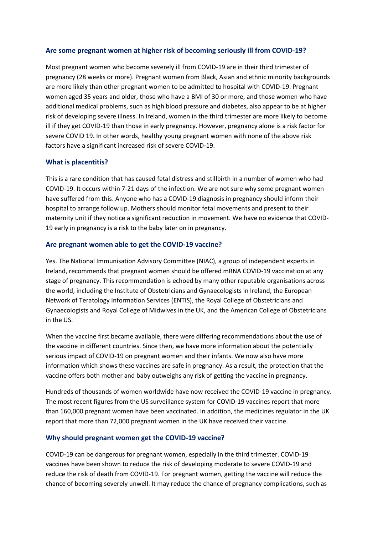### **Are some pregnant women at higher risk of becoming seriously ill from COVID-19?**

Most pregnant women who become severely ill from COVID-19 are in their third trimester of pregnancy (28 weeks or more). Pregnant women from Black, Asian and ethnic minority backgrounds are more likely than other pregnant women to be admitted to hospital with COVID-19. Pregnant women aged 35 years and older, those who have a BMI of 30 or more, and those women who have additional medical problems, such as high blood pressure and diabetes, also appear to be at higher risk of developing severe illness. In Ireland, women in the third trimester are more likely to become ill if they get COVID-19 than those in early pregnancy. However, pregnancy alone is a risk factor for severe COVID 19. In other words, healthy young pregnant women with none of the above risk factors have a significant increased risk of severe COVID-19.

### **What is placentitis?**

This is a rare condition that has caused fetal distress and stillbirth in a number of women who had COVID-19. It occurs within 7-21 days of the infection. We are not sure why some pregnant women have suffered from this. Anyone who has a COVID-19 diagnosis in pregnancy should inform their hospital to arrange follow up. Mothers should monitor fetal movements and present to their maternity unit if they notice a significant reduction in movement. We have no evidence that COVID-19 early in pregnancy is a risk to the baby later on in pregnancy.

### **Are pregnant women able to get the COVID-19 vaccine?**

Yes. The National Immunisation Advisory Committee (NIAC), a group of independent experts in Ireland, recommends that pregnant women should be offered mRNA COVID-19 vaccination at any stage of pregnancy. This recommendation is echoed by many other reputable organisations across the world, including the Institute of Obstetricians and Gynaecologists in Ireland, the European Network of Teratology Information Services (ENTIS), the Royal College of Obstetricians and Gynaecologists and Royal College of Midwives in the UK, and the American College of Obstetricians in the US.

When the vaccine first became available, there were differing recommendations about the use of the vaccine in different countries. Since then, we have more information about the potentially serious impact of COVID-19 on pregnant women and their infants. We now also have more information which shows these vaccines are safe in pregnancy. As a result, the protection that the vaccine offers both mother and baby outweighs any risk of getting the vaccine in pregnancy.

Hundreds of thousands of women worldwide have now received the COVID-19 vaccine in pregnancy. The most recent figures from the US surveillance system for COVID-19 vaccines report that more than 160,000 pregnant women have been vaccinated. In addition, the medicines regulator in the UK report that more than 72,000 pregnant women in the UK have received their vaccine.

### **Why should pregnant women get the COVID-19 vaccine?**

COVID-19 can be dangerous for pregnant women, especially in the third trimester. COVID-19 vaccines have been shown to reduce the risk of developing moderate to severe COVID-19 and reduce the risk of death from COVID-19. For pregnant women, getting the vaccine will reduce the chance of becoming severely unwell. It may reduce the chance of pregnancy complications, such as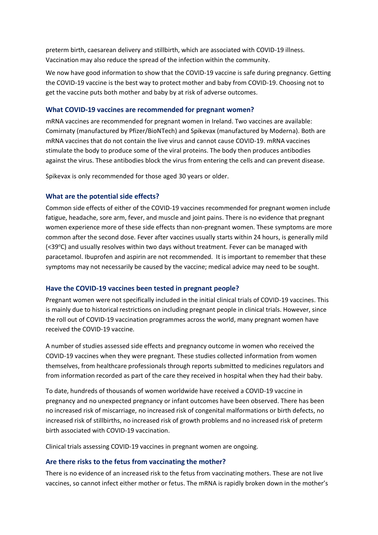preterm birth, caesarean delivery and stillbirth, which are associated with COVID-19 illness. Vaccination may also reduce the spread of the infection within the community.

We now have good information to show that the COVID-19 vaccine is safe during pregnancy. Getting the COVID-19 vaccine is the best way to protect mother and baby from COVID-19. Choosing not to get the vaccine puts both mother and baby by at risk of adverse outcomes.

### **What COVID-19 vaccines are recommended for pregnant women?**

mRNA vaccines are recommended for pregnant women in Ireland. Two vaccines are available: Comirnaty (manufactured by Pfizer/BioNTech) and Spikevax (manufactured by Moderna). Both are mRNA vaccines that do not contain the live virus and cannot cause COVID-19. mRNA vaccines stimulate the body to produce some of the viral proteins. The body then produces antibodies against the virus. These antibodies block the virus from entering the cells and can prevent disease.

Spikevax is only recommended for those aged 30 years or older.

### **What are the potential side effects?**

Common side effects of either of the COVID-19 vaccines recommended for pregnant women include fatigue, headache, sore arm, fever, and muscle and joint pains. There is no evidence that pregnant women experience more of these side effects than non-pregnant women. These symptoms are more common after the second dose. Fever after vaccines usually starts within 24 hours, is generally mild (<39°C) and usually resolves within two days without treatment. Fever can be managed with paracetamol. Ibuprofen and aspirin are not recommended. It is important to remember that these symptoms may not necessarily be caused by the vaccine; medical advice may need to be sought.

### **Have the COVID-19 vaccines been tested in pregnant people?**

Pregnant women were not specifically included in the initial clinical trials of COVID-19 vaccines. This is mainly due to historical restrictions on including pregnant people in clinical trials. However, since the roll out of COVID-19 vaccination programmes across the world, many pregnant women have received the COVID-19 vaccine.

A number of studies assessed side effects and pregnancy outcome in women who received the COVID-19 vaccines when they were pregnant. These studies collected information from women themselves, from healthcare professionals through reports submitted to medicines regulators and from information recorded as part of the care they received in hospital when they had their baby.

To date, hundreds of thousands of women worldwide have received a COVID-19 vaccine in pregnancy and no unexpected pregnancy or infant outcomes have been observed. There has been no increased risk of miscarriage, no increased risk of congenital malformations or birth defects, no increased risk of stillbirths, no increased risk of growth problems and no increased risk of preterm birth associated with COVID-19 vaccination.

Clinical trials assessing COVID-19 vaccines in pregnant women are ongoing.

### **Are there risks to the fetus from vaccinating the mother?**

There is no evidence of an increased risk to the fetus from vaccinating mothers. These are not live vaccines, so cannot infect either mother or fetus. The mRNA is rapidly broken down in the mother's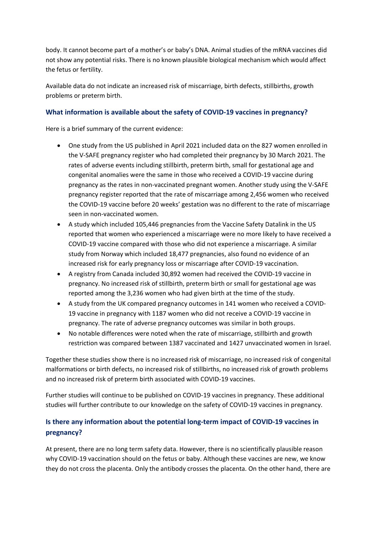body. It cannot become part of a mother's or baby's DNA. Animal studies of the mRNA vaccines did not show any potential risks. There is no known plausible biological mechanism which would affect the fetus or fertility.

Available data do not indicate an increased risk of miscarriage, birth defects, stillbirths, growth problems or preterm birth.

### **What information is available about the safety of COVID-19 vaccines in pregnancy?**

Here is a brief summary of the current evidence:

- One study from the US published in April 2021 included data on the 827 women enrolled in the V-SAFE pregnancy register who had completed their pregnancy by 30 March 2021. The rates of adverse events including stillbirth, preterm birth, small for gestational age and congenital anomalies were the same in those who received a COVID-19 vaccine during pregnancy as the rates in non-vaccinated pregnant women. Another study using the V-SAFE pregnancy register reported that the rate of miscarriage among 2,456 women who received the COVID-19 vaccine before 20 weeks' gestation was no different to the rate of miscarriage seen in non-vaccinated women.
- A study which included 105,446 pregnancies from the Vaccine Safety Datalink in the US reported that women who experienced a miscarriage were no more likely to have received a COVID-19 vaccine compared with those who did not experience a miscarriage. A similar study from Norway which included 18,477 pregnancies, also found no evidence of an increased risk for early pregnancy loss or miscarriage after COVID-19 vaccination.
- A registry from Canada included 30,892 women had received the COVID-19 vaccine in pregnancy. No increased risk of stillbirth, preterm birth or small for gestational age was reported among the 3,236 women who had given birth at the time of the study.
- A study from the UK compared pregnancy outcomes in 141 women who received a COVID-19 vaccine in pregnancy with 1187 women who did not receive a COVID-19 vaccine in pregnancy. The rate of adverse pregnancy outcomes was similar in both groups.
- No notable differences were noted when the rate of miscarriage, stillbirth and growth restriction was compared between 1387 vaccinated and 1427 unvaccinated women in Israel.

Together these studies show there is no increased risk of miscarriage, no increased risk of congenital malformations or birth defects, no increased risk of stillbirths, no increased risk of growth problems and no increased risk of preterm birth associated with COVID-19 vaccines.

Further studies will continue to be published on COVID-19 vaccines in pregnancy. These additional studies will further contribute to our knowledge on the safety of COVID-19 vaccines in pregnancy.

# **Is there any information about the potential long-term impact of COVID-19 vaccines in pregnancy?**

At present, there are no long term safety data. However, there is no scientifically plausible reason why COVID-19 vaccination should on the fetus or baby. Although these vaccines are new, we know they do not cross the placenta. Only the antibody crosses the placenta. On the other hand, there are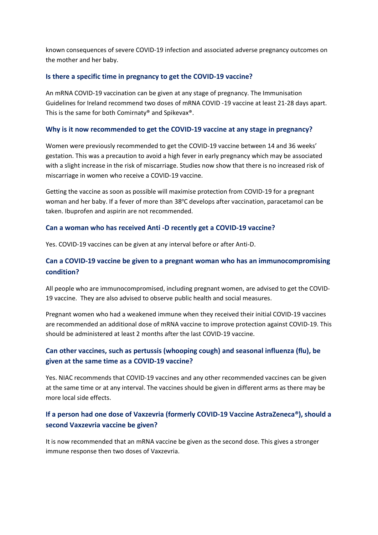known consequences of severe COVID-19 infection and associated adverse pregnancy outcomes on the mother and her baby.

### **Is there a specific time in pregnancy to get the COVID-19 vaccine?**

An mRNA COVID-19 vaccination can be given at any stage of pregnancy. The Immunisation Guidelines for Ireland recommend two doses of mRNA COVID -19 vaccine at least 21-28 days apart. This is the same for both Comirnaty® and Spikevax®.

### **Why is it now recommended to get the COVID-19 vaccine at any stage in pregnancy?**

Women were previously recommended to get the COVID-19 vaccine between 14 and 36 weeks' gestation. This was a precaution to avoid a high fever in early pregnancy which may be associated with a slight increase in the risk of miscarriage. Studies now show that there is no increased risk of miscarriage in women who receive a COVID-19 vaccine.

Getting the vaccine as soon as possible will maximise protection from COVID-19 for a pregnant woman and her baby. If a fever of more than 38°C develops after vaccination, paracetamol can be taken. Ibuprofen and aspirin are not recommended.

### **Can a woman who has received Anti -D recently get a COVID-19 vaccine?**

Yes. COVID-19 vaccines can be given at any interval before or after Anti-D.

# **Can a COVID-19 vaccine be given to a pregnant woman who has an immunocompromising condition?**

All people who are immunocompromised, including pregnant women, are advised to get the COVID-19 vaccine. They are also advised to observe public health and social measures.

Pregnant women who had a weakened immune when they received their initial COVID-19 vaccines are recommended an additional dose of mRNA vaccine to improve protection against COVID-19. This should be administered at least 2 months after the last COVID-19 vaccine.

# **Can other vaccines, such as pertussis (whooping cough) and seasonal influenza (flu), be given at the same time as a COVID-19 vaccine?**

Yes. NIAC recommends that COVID-19 vaccines and any other recommended vaccines can be given at the same time or at any interval. The vaccines should be given in different arms as there may be more local side effects.

# **If a person had one dose of Vaxzevria (formerly COVID-19 Vaccine AstraZeneca®), should a second Vaxzevria vaccine be given?**

It is now recommended that an mRNA vaccine be given as the second dose. This gives a stronger immune response then two doses of Vaxzevria.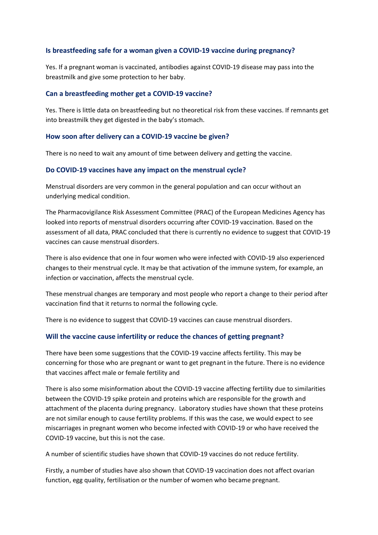### **Is breastfeeding safe for a woman given a COVID-19 vaccine during pregnancy?**

Yes. If a pregnant woman is vaccinated, antibodies against COVID-19 disease may pass into the breastmilk and give some protection to her baby.

#### **Can a breastfeeding mother get a COVID-19 vaccine?**

Yes. There is little data on breastfeeding but no theoretical risk from these vaccines. If remnants get into breastmilk they get digested in the baby's stomach.

#### **How soon after delivery can a COVID-19 vaccine be given?**

There is no need to wait any amount of time between delivery and getting the vaccine.

#### **Do COVID-19 vaccines have any impact on the menstrual cycle?**

Menstrual disorders are very common in the general population and can occur without an underlying medical condition.

The Pharmacovigilance Risk Assessment Committee (PRAC) of the European Medicines Agency has looked into reports of menstrual disorders occurring after COVID-19 vaccination. Based on the assessment of all data, PRAC concluded that there is currently no evidence to suggest that COVID-19 vaccines can cause menstrual disorders.

There is also evidence that one in four women who were infected with COVID-19 also experienced changes to their menstrual cycle. It may be that activation of the immune system, for example, an infection or vaccination, affects the menstrual cycle.

These menstrual changes are temporary and most people who report a change to their period after vaccination find that it returns to normal the following cycle.

There is no evidence to suggest that COVID-19 vaccines can cause menstrual disorders.

#### **Will the vaccine cause infertility or reduce the chances of getting pregnant?**

There have been some suggestions that the COVID-19 vaccine affects fertility. This may be concerning for those who are pregnant or want to get pregnant in the future. There is no evidence that vaccines affect male or female fertility and

There is also some misinformation about the COVID-19 vaccine affecting fertility due to similarities between the COVID-19 spike protein and proteins which are responsible for the growth and attachment of the placenta during pregnancy. Laboratory studies have shown that these proteins are not similar enough to cause fertility problems. If this was the case, we would expect to see miscarriages in pregnant women who become infected with COVID-19 or who have received the COVID-19 vaccine, but this is not the case.

A number of scientific studies have shown that COVID-19 vaccines do not reduce fertility.

Firstly, a number of studies have also shown that COVID-19 vaccination does not affect ovarian function, egg quality, fertilisation or the number of women who became pregnant.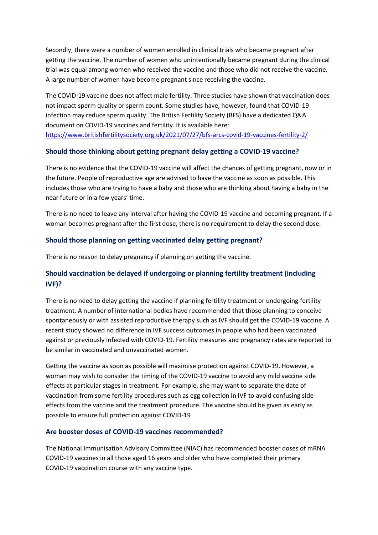Secondly, there were a number of women enrolled in clinical trials who became pregnant after getting the vaccine. The number of women who unintentionally became pregnant during the clinical trial was equal among women who received the vaccine and those who did not receive the vaccine. A large number of women have become pregnant since receiving the vaccine.

The COVID-19 vaccine does not affect male fertility. Three studies have shown that vaccination does not impact sperm quality or sperm count. Some studies have, however, found that COVID-19 infection may reduce sperm quality. The British Fertility Society (BFS) have a dedicated Q&A document on COVID-19 vaccines and fertility. It is available here: <https://www.britishfertilitysociety.org.uk/2021/07/27/bfs-arcs-covid-19-vaccines-fertility-2/>

### **Should those thinking about getting pregnant delay getting a COVID-19 vaccine?**

There is no evidence that the COVID-19 vaccine will affect the chances of getting pregnant, now or in the future. People of reproductive age are advised to have the vaccine as soon as possible. This includes those who are trying to have a baby and those who are thinking about having a baby in the near future or in a few years' time.

There is no need to leave any interval after having the COVID-19 vaccine and becoming pregnant. If a woman becomes pregnant after the first dose, there is no requirement to delay the second dose.

### **Should those planning on getting vaccinated delay getting pregnant?**

There is no reason to delay pregnancy if planning on getting the vaccine.

# **Should vaccination be delayed if undergoing or planning fertility treatment (including IVF)?**

There is no need to delay getting the vaccine if planning fertility treatment or undergoing fertility treatment. A number of international bodies have recommended that those planning to conceive spontaneously or with assisted reproductive therapy such as IVF should get the COVID-19 vaccine. A recent study showed no difference in IVF success outcomes in people who had been vaccinated against or previously infected with COVID-19. Fertility measures and pregnancy rates are reported to be similar in vaccinated and unvaccinated women.

Getting the vaccine as soon as possible will maximise protection against COVID-19. However, a woman may wish to consider the timing of the COVID-19 vaccine to avoid any mild vaccine side effects at particular stages in treatment. For example, she may want to separate the date of vaccination from some fertility procedures such as egg collection in IVF to avoid confusing side effects from the vaccine and the treatment procedure. The vaccine should be given as early as possible to ensure full protection against COVID-19

#### **Are booster doses of COVID-19 vaccines recommended?**

The National Immunisation Advisory Committee (NIAC) has recommended booster doses of mRNA COVID-19 vaccines in all those aged 16 years and older who have completed their primary COVID-19 vaccination course with any vaccine type.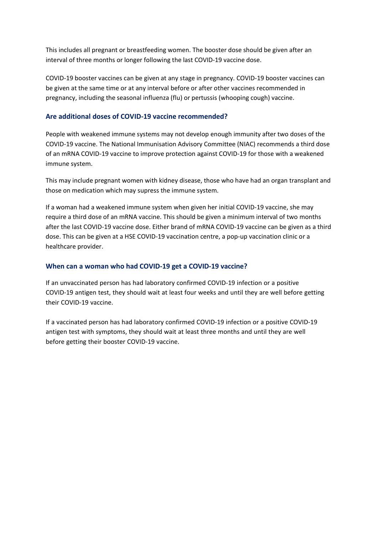This includes all pregnant or breastfeeding women. The booster dose should be given after an interval of three months or longer following the last COVID-19 vaccine dose.

COVID-19 booster vaccines can be given at any stage in pregnancy. COVID-19 booster vaccines can be given at the same time or at any interval before or after other vaccines recommended in pregnancy, including the seasonal influenza (flu) or pertussis (whooping cough) vaccine.

### **Are additional doses of COVID-19 vaccine recommended?**

People with weakened immune systems may not develop enough immunity after two doses of the COVID-19 vaccine. The National Immunisation Advisory Committee (NIAC) recommends a third dose of an mRNA COVID-19 vaccine to improve protection against COVID-19 for those with a weakened immune system.

This may include pregnant women with kidney disease, those who have had an organ transplant and those on medication which may supress the immune system.

If a woman had a weakened immune system when given her initial COVID-19 vaccine, she may require a third dose of an mRNA vaccine. This should be given a minimum interval of two months after the last COVID-19 vaccine dose. Either brand of mRNA COVID-19 vaccine can be given as a third dose. This can be given at a HSE COVID-19 vaccination centre, a pop-up vaccination clinic or a healthcare provider.

### **When can a woman who had COVID-19 get a COVID-19 vaccine?**

If an unvaccinated person has had laboratory confirmed COVID-19 infection or a positive COVID-19 antigen test, they should wait at least four weeks and until they are well before getting their COVID-19 vaccine.

If a vaccinated person has had laboratory confirmed COVID-19 infection or a positive COVID-19 antigen test with symptoms, they should wait at least three months and until they are well before getting their booster COVID-19 vaccine.